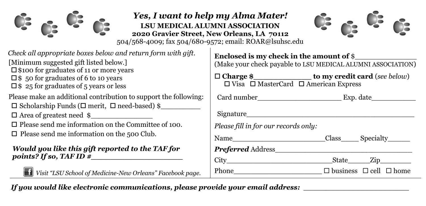

## *Yes, I want to help my Alma Mater!* **LSU MEDICAL ALUMNI ASSOCIATION 2020 Gravier Street, New Orleans, LA 70112**



504/568-4009; fax 504/680-9572; email: ROAR@lsuhsc.edu

- *Check all appropriate boxes below and return form with gift.*
- [Minimum suggested gift listed below.]
- $\square$  \$100 for graduates of 11 or more years
- $\square$  \$ 50 for graduates of 6 to 10 years
- $\square$  \$ 25 for graduates of 5 years or less
- Please make an additional contribution to support the following:
- $\square$  Scholarship Funds ( $\square$  merit,  $\square$  need-based) \$
- $\Box$  Area of greatest need  $\gamma$
- $\square$  Please send me information on the Committee of 100.
- $\Box$  Please send me information on the 500 Club.

## *Would you like this gift reported to the TAF for points? If so, TAF ID #\_\_\_\_\_\_\_\_\_\_\_\_\_\_\_\_\_\_\_*



*Visit "LSU School of Medicine-New Orleans" Facebook page.*

| Enclosed is my check in the amount of $\$ |  |  |
|-------------------------------------------|--|--|
|                                           |  |  |

(Make your check payable to LSU MEDICAL ALUMNI ASSOCIATION)

| $\Box$ Charge \$ | to my credit card (see below)                         |  |
|------------------|-------------------------------------------------------|--|
|                  | $\Box$ Visa $\Box$ MasterCard $\Box$ American Express |  |

| Card number<br>Exp. date |
|--------------------------|
|--------------------------|

| , | ы<br>l<br>1 |
|---|-------------|
|---|-------------|

| Signature |  |  |  |
|-----------|--|--|--|
|           |  |  |  |

*Please fill in for our records only:*

| Name | ⊿lass | Specialty |
|------|-------|-----------|
|------|-------|-----------|

## *Preferred* Address\_\_\_\_\_\_\_\_\_\_\_\_\_\_\_\_\_\_\_\_\_\_\_\_\_\_\_\_\_\_\_

City City State Zip

| <b>Class</b> | Specialty |  |
|--------------|-----------|--|
|              |           |  |
|              |           |  |

| Phone | $\Box$ business $\Box$ cell $\Box$ home |  |
|-------|-----------------------------------------|--|

*If you would like electronic communications, please provide your email address:* \_\_\_\_\_\_\_\_\_\_\_\_\_\_\_\_\_\_\_\_\_\_\_\_